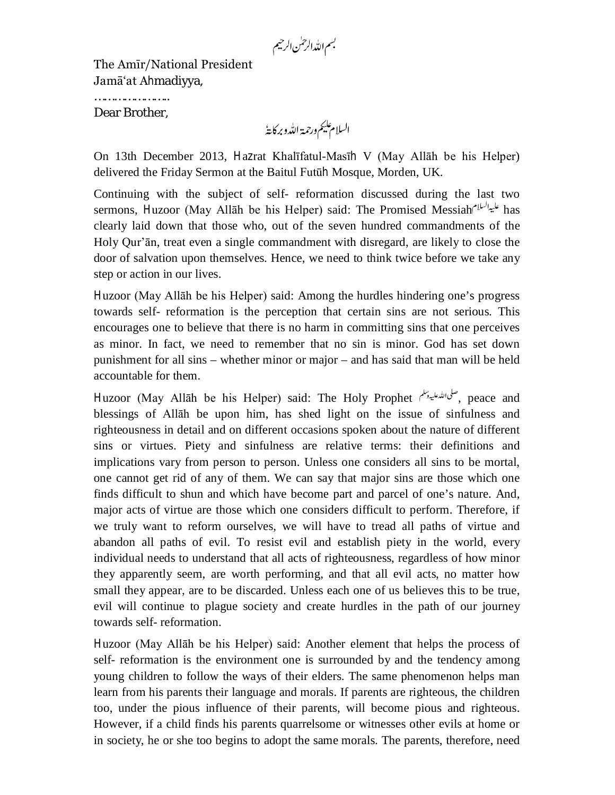بسم الله الرحمٰن الرحيم

The Amīr/National President Jamā'at Ahmadiyya,

………………………… Dear Brother,

On 13th December 2013, Hazrat Khalīfatul-Masīh V (May Allāh be his Helper) delivered the Friday Sermon at the Baitul Futūh Mosque, Morden, UK.

Continuing with the subject of self- reformation discussed during the last two sermons, Huzoor (May Allāh be his Helper) said: The Promised Messiah المحلية للعلماء has clearly laid down that those who, out of the seven hundred commandments of the Holy Qur'ān, treat even a single commandment with disregard, are likely to close the door of salvation upon themselves. Hence, we need to think twice before we take any step or action in our lives.

Huzoor (May Allāh be his Helper) said: Among the hurdles hindering one's progress towards self- reformation is the perception that certain sins are not serious. This encourages one to believe that there is no harm in committing sins that one perceives as minor. In fact, we need to remember that no sin is minor. God has set down punishment for all sins – whether minor or major – and has said that man will be held accountable for them.

Huzoor (May Allāh be his Helper) said: The Holy Prophet , صلى الله عليه وسلم الله عليه وسلم الله عليه وسلم الل blessings of Allāh be upon him, has shed light on the issue of sinfulness and righteousness in detail and on different occasions spoken about the nature of different sins or virtues. Piety and sinfulness are relative terms: their definitions and implications vary from person to person. Unless one considers all sins to be mortal, one cannot get rid of any of them. We can say that major sins are those which one finds difficult to shun and which have become part and parcel of one's nature. And, major acts of virtue are those which one considers difficult to perform. Therefore, if we truly want to reform ourselves, we will have to tread all paths of virtue and abandon all paths of evil. To resist evil and establish piety in the world, every individual needs to understand that all acts of righteousness, regardless of how minor they apparently seem, are worth performing, and that all evil acts, no matter how small they appear, are to be discarded. Unless each one of us believes this to be true, evil will continue to plague society and create hurdles in the path of our journey towards self- reformation.

Huzoor (May Allāh be his Helper) said: Another element that helps the process of self- reformation is the environment one is surrounded by and the tendency among young children to follow the ways of their elders. The same phenomenon helps man learn from his parents their language and morals. If parents are righteous, the children too, under the pious influence of their parents, will become pious and righteous. However, if a child finds his parents quarrelsome or witnesses other evils at home or in society, he or she too begins to adopt the same morals. The parents, therefore, need